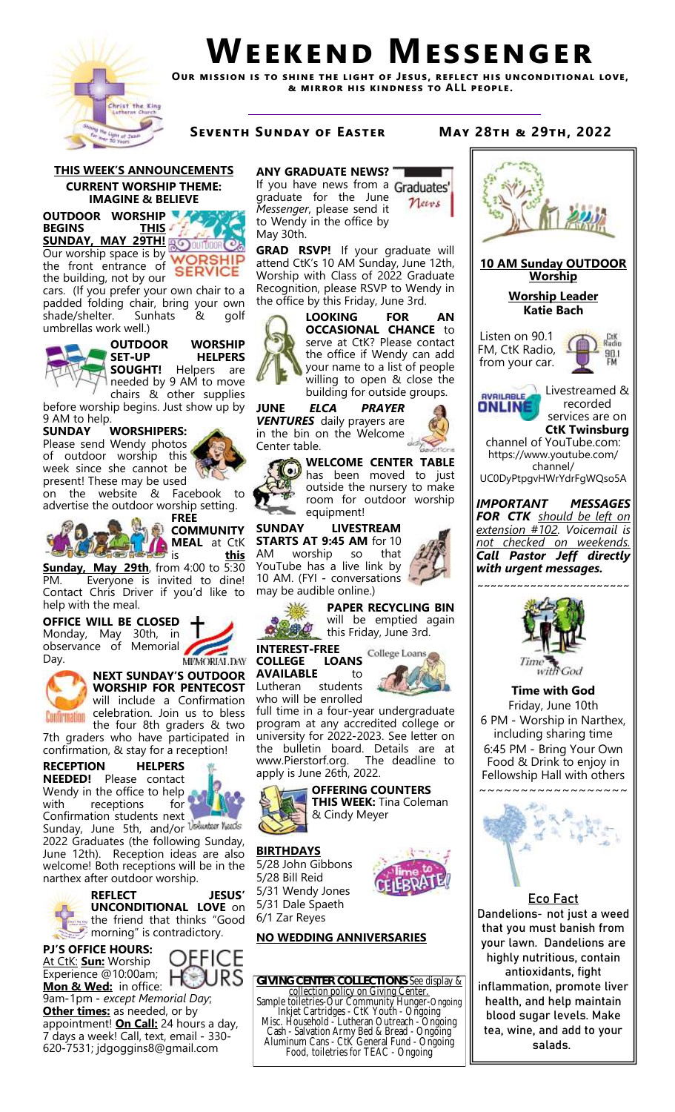

# **Weekend Messenger**

**Our mission is to shine the light of Jesus, reflect his unconditional love, & mirror his kindness to ALL people.**

**Seventh Sunday of Easter May 28th & 29th, 2022**

**THIS WEEK'S ANNOUNCEMENTS CURRENT WORSHIP THEME: IMAGINE & BELIEVE**

**OUTDOOR WORSHIP BEGINS THIS SUNDAY, MAY 29TH!** Our worship space is by the front entrance of **SERVICE** the building, not by our

cars. (If you prefer your own chair to a padded folding chair, bring your own shade/shelter. Sunhats & golf umbrellas work well.)



**OUTDOOR WORSHIP SET-UP HELPERS SOUGHT!** Helpers are

needed by 9 AM to move chairs & other supplies before worship begins. Just show up by

9 AM to help.<br>SUNDAY **WORSHIPERS:** 

Please send Wendy photos of outdoor worship this week since she cannot be present! These may be used

on the website & Facebook to advertise the outdoor worship setting.



**FREE COMMUNITY MEAL** at CtK is **this** 

**Sunday, May 29th**, from 4:00 to 5:30 PM. Everyone is invited to dine! Contact Chris Driver if you'd like to help with the meal.

**OFFICE WILL BE CLOSED**  Monday, May 30th, in observance of Memorial n Day.





7th graders who have participated in confirmation, & stay for a reception!

# **RECEPTION HELPERS**

**NEEDED!** Please contact Wendy in the office to help with receptions

Confirmation students next Sunday, June 5th, and/or 2022 Graduates (the following Sunday,

June 12th). Reception ideas are also welcome! Both receptions will be in the narthex after outdoor worship.

**REFLECT JESUS' UNCONDITIONAL LOVE** on the friend that thinks "Good



 $\mathcal P$  morning" is contradictory.

OEFICE н

9am-1pm - *except Memorial Day*; **Other times:** as needed, or by appointment! **On Call:** 24 hours a day, 7 days a week! Call, text, email - 330- 620-7531; jdgoggins8@gmail.com

## **ANY GRADUATE NEWS?**

If you have news from a Graduates graduate for the June News *Messenger*, please send it to Wendy in the office by May 30th.

**GRAD RSVP!** If your graduate will attend CtK's 10 AM Sunday, June 12th, Worship with Class of 2022 Graduate Recognition, please RSVP to Wendy in the office by this Friday, June 3rd.



**LOOKING FOR AN OCCASIONAL CHANCE** to serve at CtK? Please contact the office if Wendy can add your name to a list of people willing to open & close the building for outside groups.

**JUNE** *ELCA PRAYER VENTURES* daily prayers are in the bin on the Welcome Center table.



**WELCOME CENTER TABLE**  WELCONIL CHILITY TO just outside the nursery to make room for outdoor worship equipment!

#### **SUNDAY LIVESTREAM STARTS AT 9:45 AM** for 10

AM worship so that YouTube has a live link by 10 AM. (FYI - conversations may be audible online.)



**PAPER RECYCLING BIN**  will be emptied again this Friday, June 3rd.

Lutheran students



who will be enrolled full time in a four-year undergraduate program at any accredited college or university for 2022-2023. See letter on the bulletin board. Details are at www.Pierstorf.org. The deadline to apply is June 26th, 2022.



**OFFERING COUNTERS THIS WEEK:** Tina Coleman & Cindy Meyer

# **BIRTHDAYS**

5/28 John Gibbons 5/28 Bill Reid 5/31 Wendy Jones 5/31 Dale Spaeth 6/1 Zar Reyes



# **NO WEDDING ANNIVERSARIES**

**GIVING CENTER COLLECTIONS**-See display & collection policy on Giving Center. Sample toiletries-Our Community Hunger-Ongoing Inkjet Cartridges - CtK Youth - Ongoing Misc. Household - Lutheran Outreach - Ongoing Cash - Salvation Army Bed & Bread - Ongoing Aluminum Cans - CtK General Fund - Ongoing Food, toiletries for TEAC - Ongoing



tea, wine, and add to your salads.

**INTEREST-FREE AVAILABLE** to